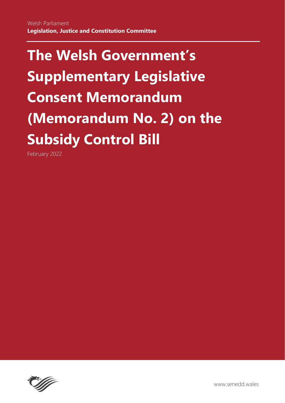February 2022

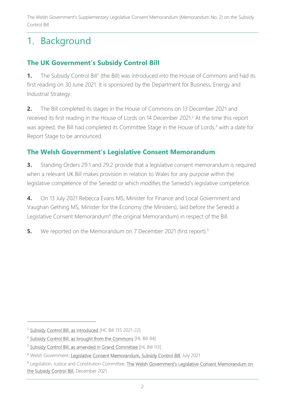# 1. Background

## **The UK Government's Subsidy Control Bill**

**1.** The Subsidy Control Bill<sup>1</sup> (the Bill) was introduced into the House of Commons and had its first reading on 30 June 2021. It is sponsored by the Department for Business, Energy and Industrial Strategy.

**2.** The Bill completed its stages in the House of Commons on 13 December 2021 and received its first reading in the House of Lords on 14 December 2021.<sup>2</sup> At the time this report was agreed, the Bill had completed its Committee Stage in the House of Lords,<sup>3</sup> with a date for Report Stage to be announced.

### **The Welsh Government's Legislative Consent Memorandum**

**3.** Standing Orders 29.1 and 29.2 provide that a legislative consent memorandum is required when a relevant UK Bill makes provision in relation to Wales for any purpose within the legislative competence of the Senedd or which modifies the Senedd's legislative competence.

**4.** On 13 July 2021 Rebecca Evans MS, Minister for Finance and Local Government and Vaughan Gething MS, Minister for the Economy (the Ministers), laid before the Senedd a Legislative Consent Memorandum<sup>4</sup> (the original Memorandum) in respect of the Bill.

**5.** We reported on the Memorandum on 7 December 2021 (first report).<sup>5</sup>

<sup>&</sup>lt;sup>1</sup> [Subsidy Control Bill, as introduced](https://publications.parliament.uk/pa/bills/cbill/58-02/0135/210135.pdf) [HC Bill 135 2021-22]

<sup>&</sup>lt;sup>2</sup> [Subsidy Control Bill, as brought from the Commons](https://bills.parliament.uk/publications/44386/documents/1154) [HL Bill 84]

<sup>&</sup>lt;sup>3</sup> [Subsidy Control Bill, as amended in Grand Committee](https://bills.parliament.uk/publications/45218/documents/1406) [HL Bill 113]

<sup>4</sup> Welsh Governmen[t, Legislative Consent Memorandum, Subsidy Control Bill,](https://senedd.wales/media/yhcnasow/lcm-ld14446-e.pdf) July 2021

<sup>&</sup>lt;sup>5</sup> Legislation, Justice and Constitution Committee, The Welsh Government's Legislative Consent Memorandum on [the Subsidy Control Bill,](https://senedd.wales/media/r02huft4/cr-ld14725-e.pdf) December 2021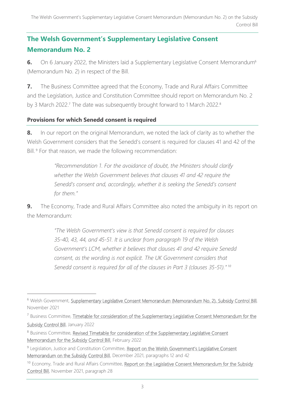## **The Welsh Government's Supplementary Legislative Consent Memorandum No. 2**

**6.** On 6 January 2022, the Ministers laid a Supplementary Legislative Consent Memorandum<sup>6</sup> (Memorandum No. 2) in respect of the Bill.

**7.** The Business Committee agreed that the Economy, Trade and Rural Affairs Committee and the Legislation, Justice and Constitution Committee should report on Memorandum No. 2 by 3 March 2022.<sup>7</sup> The date was subsequently brought forward to 1 March 2022.<sup>8</sup>

#### **Provisions for which Senedd consent is required**

**8.** In our report on the original Memorandum, we noted the lack of clarity as to whether the Welsh Government considers that the Senedd's consent is required for clauses 41 and 42 of the Bill.<sup>9</sup> For that reason, we made the following recommendation:

> *"Recommendation 1. For the avoidance of doubt, the Ministers should clarify whether the Welsh Government believes that clauses 41 and 42 require the Senedd's consent and, accordingly, whether it is seeking the Senedd's consent for them."*

**9.** The Economy, Trade and Rural Affairs Committee also noted the ambiguity in its report on the Memorandum:

> *"The Welsh Government's view is that Senedd consent is required for clauses 35-40, 43, 44, and 45-51. It is unclear from paragraph 19 of the Welsh Government's LCM, whether it believes that clauses 41 and 42 require Senedd consent, as the wording is not explicit. The UK Government considers that Senedd consent is required for all of the clauses in Part 3 (clauses 35-51)." 10*

<sup>&</sup>lt;sup>6</sup> Welsh Government, [Supplementary Legislative Consent Memorandum \(Memorandum No. 2\), Subsidy Control Bill,](https://senedd.wales/media/sg0brr11/slcm-14809-e.pdf) November 2021

<sup>&</sup>lt;sup>7</sup> Business Committee, Timetable for consideration of the Supplementary Legislative Consent Memorandum for the [Subsidy Control Bill,](https://senedd.wales/media/dvrnwxqd/cr-ld14843-e.pdf) January 2022

<sup>&</sup>lt;sup>8</sup> Business Committee, Revised Timetable for consideration of the Supplementary Legislative Consent [Memorandum for the Subsidy Control Bill,](https://senedd.wales/media/j2ejmhel/cr-ld14940-e.pdf) February 2022

<sup>&</sup>lt;sup>9</sup> Legislation, Justice and Constitution Committee, Report on the Welsh Government's Legislative Consent [Memorandum on the Subsidy Control Bill,](https://senedd.wales/media/r02huft4/cr-ld14725-e.pdf) December 2021, paragraphs 12 and 42

<sup>&</sup>lt;sup>10</sup> Economy, Trade and Rural Affairs Committee, Report on the Legislative Consent Memorandum for the Subsidy [Control Bill,](https://senedd.wales/media/sdcbnw3q/cr-ld14647-e.pdf) November 2021, paragraph 28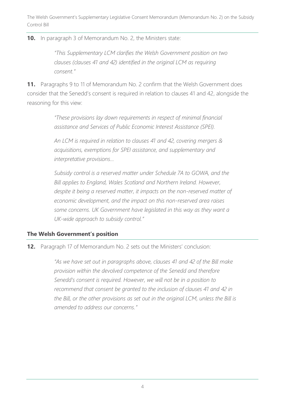**10.** In paragraph 3 of Memorandum No. 2, the Ministers state:

*"This Supplementary LCM clarifies the Welsh Government position on two clauses (clauses 41 and 42) identified in the original LCM as requiring consent."*

**11.** Paragraphs 9 to 11 of Memorandum No. 2 confirm that the Welsh Government does consider that the Senedd's consent is required in relation to clauses 41 and 42, alongside the reasoning for this view:

> *"These provisions lay down requirements in respect of minimal financial assistance and Services of Public Economic Interest Assistance (SPEI).*

> *An LCM is required in relation to clauses 41 and 42, covering mergers & acquisitions, exemptions for SPEI assistance, and supplementary and interpretative provisions…*

*Subsidy control is a reserved matter under Schedule 7A to GOWA, and the Bill applies to England, Wales Scotland and Northern Ireland. However, despite it being a reserved matter, it impacts on the non-reserved matter of economic development, and the impact on this non-reserved area raises some concerns. UK Government have legislated in this way as they want a UK-wide approach to subsidy control."*

#### **The Welsh Government's position**

**12.** Paragraph 17 of Memorandum No. 2 sets out the Ministers' conclusion:

*"As we have set out in paragraphs above, clauses 41 and 42 of the Bill make provision within the devolved competence of the Senedd and therefore Senedd's consent is required. However, we will not be in a position to recommend that consent be granted to the inclusion of clauses 41 and 42 in the Bill, or the other provisions as set out in the original LCM, unless the Bill is amended to address our concerns."*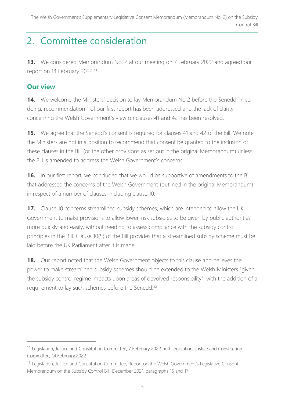## 2. Committee consideration

**13.** We considered Memorandum No. 2 at our meeting on 7 February 2022 and agreed our report on 14 February 2022.<sup>11</sup>

### **Our view**

**14.** We welcome the Ministers' decision to lay Memorandum No 2 before the Senedd. In so doing, recommendation 1 of our first report has been addressed and the lack of clarity concerning the Welsh Government's view on clauses 41 and 42 has been resolved.

**15.** We agree that the Senedd's consent is required for clauses 41 and 42 of the Bill. We note the Ministers are not in a position to recommend that consent be granted to the inclusion of these clauses in the Bill (or the other provisions as set out in the original Memorandum) unless the Bill is amended to address the Welsh Government's concerns.

**16.** In our first report, we concluded that we would be supportive of amendments to the Bill that addressed the concerns of the Welsh Government (outlined in the original Memorandum) in respect of a number of clauses, including clause 10.

**17.** Clause 10 concerns streamlined subsidy schemes, which are intended to allow the UK Government to make provisions to allow lower-risk subsidies to be given by public authorities more quickly and easily, without needing to assess compliance with the subsidy control principles in the Bill. Clause 10(5) of the Bill provides that a streamlined subsidy scheme must be laid before the UK Parliament after it is made.

**18.** Our report noted that the Welsh Government objects to this clause and believes the power to make streamlined subsidy schemes should be extended to the Welsh Ministers "given the subsidy control regime impacts upon areas of devolved responsibility", with the addition of a requirement to lay such schemes before the Senedd.<sup>12</sup>

<sup>&</sup>lt;sup>11</sup> [Legislation, Justice and Constitution Committee, 7 February 2022](https://business.senedd.wales/ieListDocuments.aspx?CId=725&MId=12609&Ver=4) and Legislation. Justice and Constitution [Committee, 14 February 2022](https://business.senedd.wales/ieListDocuments.aspx?CId=725&MId=12610&Ver=4)

<sup>&</sup>lt;sup>12</sup> Legislation, Justice and Constitution Committee, Report on the Welsh Government's Legislative Consent Memorandum on the Subsidy Control Bill, December 2021, paragraphs 16 and 17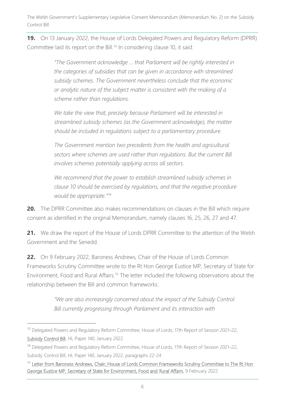**19.** On 13 January 2022, the House of Lords Delegated Powers and Regulatory Reform (DPRR) Committee laid its report on the Bill.<sup>13</sup> In considering clause 10, it said:

> *"The Government acknowledge … that Parliament will be rightly interested in the categories of subsidies that can be given in accordance with streamlined subsidy schemes. The Government nevertheless conclude that the economic or analytic nature of the subject matter is consistent with the making of a scheme rather than regulations.*

We take the view that, precisely because Parliament will be interested in *streamlined subsidy schemes (as the Government acknowledge), the matter should be included in regulations subject to a parliamentary procedure.* 

*The Government mention two precedents from the health and agricultural sectors where schemes are used rather than regulations. But the current Bill involves schemes potentially applying across all sectors.*

*We recommend that the power to establish streamlined subsidy schemes in clause 10 should be exercised by regulations, and that the negative procedure would be appropriate."<sup>14</sup>*

**20.** The DPRR Committee also makes recommendations on clauses in the Bill which require consent as identified in the original Memorandum, namely clauses 16, 25, 26, 27 and 47.

21. We draw the report of the House of Lords DPRR Committee to the attention of the Welsh Government and the Senedd.

**22.** On 9 February 2022, Baroness Andrews, Chair of the House of Lords Common Frameworks Scrutiny Committee wrote to the Rt Hon George Eustice MP, Secretary of State for Environment, Food and Rural Affairs.<sup>15</sup> The letter included the following observations about the relationship between the Bill and common frameworks:

> *"We are also increasingly concerned about the impact of the Subsidy Control Bill currently progressing through Parliament and its interaction with*

<sup>&</sup>lt;sup>13</sup> Delegated Powers and Regulatory Reform Committee, House of Lords, 17th Report of Session 2021–22, [Subsidy Control Bill,](https://committees.parliament.uk/publications/8474/documents/85858/default/) HL Paper 140, January 2022

<sup>&</sup>lt;sup>14</sup> Delegated Powers and Regulatory Reform Committee, House of Lords, 17th Report of Session 2021–22, Subsidy Control Bill, HL Paper 140, January 2022, paragraphs 22-24

<sup>&</sup>lt;sup>15</sup> Letter from Baroness Andrews, Chair, House of Lords Common Frameworks Scrutiny Committee to The Rt Hon [George Eustice MP, Secretary of State for Environment, Food and Rural Affairs,](https://committees.parliament.uk/publications/8833/documents/89110/default/) 9 February 2022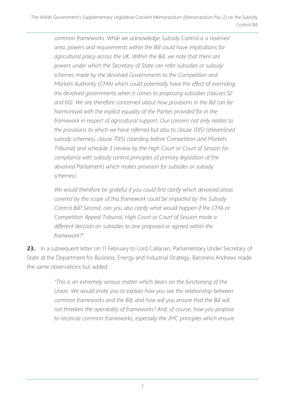*common frameworks. While we acknowledge Subsidy Control is a reserved area, powers and requirements within the Bill could have implications for agricultural policy across the UK. Within the Bill, we note that there are powers under which the Secretary of State can refer subsidies or subsidy schemes made by the devolved Governments to the Competition and Markets Authority (CMA) which could potentially have the effect of overriding the devolved governments when it comes to proposing subsidies (clauses 52 and 60). We are therefore concerned about how provisions in the Bill can be harmonised with the explicit equality of the Parties provided for in the framework in respect of agricultural support. Our concern not only relates to the provisions to which we have referred but also to clause 10(5) (streamlined subsidy schemes), clause 70(5) (standing before Competition and Markets Tribunal) and schedule 3 (review by the High Court or Court of Session for compliance with subsidy control principles of primary legislation of the devolved Parliaments which makes provision for subsides or subsidy schemes).*

*We would therefore be grateful if you could first clarify which devolved areas covered by the scope of this framework could be impacted by the Subsidy Control Bill? Second, can you also clarify what would happen if the CMA or Competition Appeal Tribunal, High Court or Court of Session made a different decision on subsidies to one proposed or agreed within the framework?".*

23. In a subsequent letter on 11 February to Lord Callanan, Parliamentary Under Secretary of State at the Department for Business, Energy and Industrial Strategy, Baroness Andrews made the same observations but added:

> *"This is an extremely serious matter which bears on the functioning of the Union. We would invite you to explain how you see the relationship between common frameworks and the Bill; and how will you ensure that the Bill will not threaten the operability of frameworks? And, of course, how you propose*  to reconcile common frameworks, especially the JMC principles which ensure